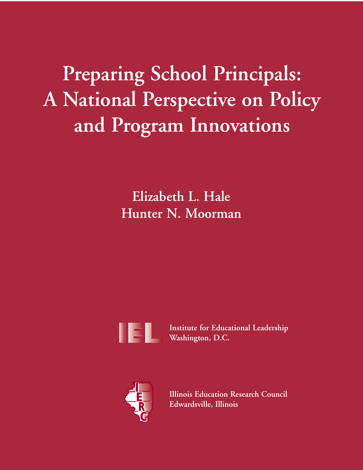# **Preparing School Principals: A National Perspective on Policy and Program Innovations**

**Elizabeth L. Hale Hunter N. Moorman**



**Institute for Educational Leadership Washington, D.C.**



**Illinois Education Research Council Edwardsville, Illinois**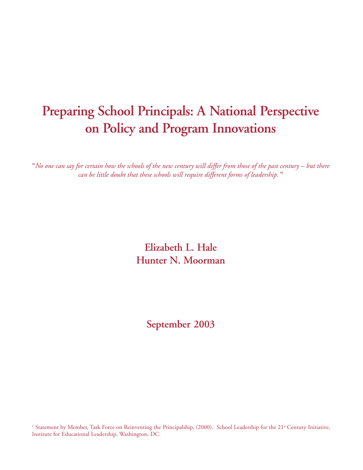# **Preparing School Principals: A National Perspective on Policy and Program Innovations**

**"***No one can say for certain how the schools of the new century will differ from those of the past century – but there can be little doubt that these schools will require different forms of leadership."1*

> **Elizabeth L. Hale Hunter N. Moorman**

> > **September 2003**

<sup>1</sup> Statement by Member, Task Force on Reinventing the Principalship, (2000). School Leadership for the 21<sup>st</sup> Century Initiative, Institute for Educational Leadership, Washington, DC.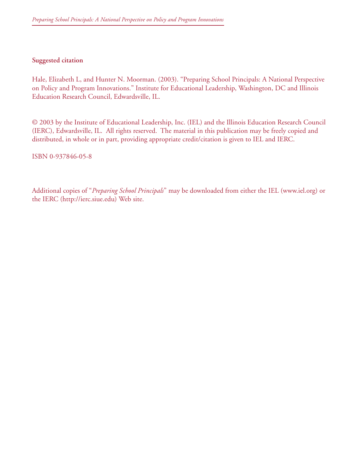#### **Suggested citation**

Hale, Elizabeth L, and Hunter N. Moorman. (2003). "Preparing School Principals: A National Perspective on Policy and Program Innovations." Institute for Educational Leadership, Washington, DC and Illinois Education Research Council, Edwardsville, IL.

© 2003 by the Institute of Educational Leadership, Inc. (IEL) and the Illinois Education Research Council (IERC), Edwardsville, IL. All rights reserved. The material in this publication may be freely copied and distributed, in whole or in part, providing appropriate credit/citation is given to IEL and IERC.

ISBN 0-937846-05-8

Additional copies of "*Preparing School Principals*" may be downloaded from either the IEL (www.iel.org) or the IERC (http://ierc.siue.edu) Web site.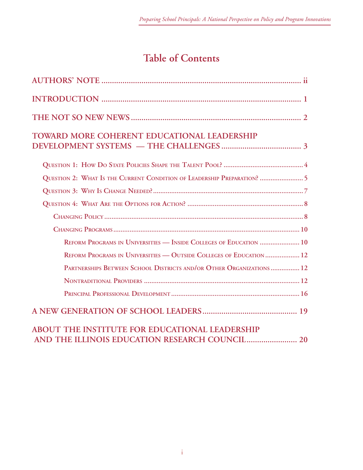# **Table of Contents**

| <b>TOWARD MORE COHERENT EDUCATIONAL LEADERSHIP</b>                      |
|-------------------------------------------------------------------------|
|                                                                         |
| QUESTION 2: WHAT IS THE CURRENT CONDITION OF LEADERSHIP PREPARATION?  5 |
|                                                                         |
|                                                                         |
|                                                                         |
|                                                                         |
| REFORM PROGRAMS IN UNIVERSITIES - INSIDE COLLEGES OF EDUCATION  10      |
| REFORM PROGRAMS IN UNIVERSITIES - OUTSIDE COLLEGES OF EDUCATION  12     |
| PARTNERSHIPS BETWEEN SCHOOL DISTRICTS AND/OR OTHER ORGANIZATIONS  12    |
|                                                                         |
|                                                                         |
|                                                                         |
| ABOUT THE INSTITUTE FOR EDUCATIONAL LEADERSHIP                          |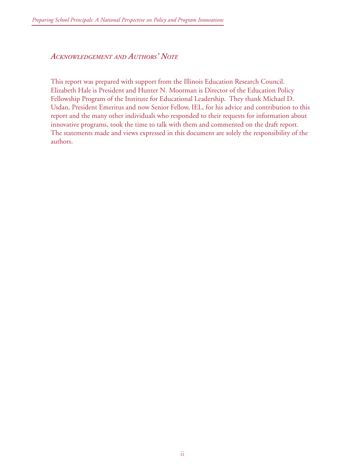*ACKNOWLEDGEMENT AND AUTHORS' NOTE*

This report was prepared with support from the Illinois Education Research Council. Elizabeth Hale is President and Hunter N. Moorman is Director of the Education Policy Fellowship Program of the Institute for Educational Leadership. They thank Michael D. Usdan, President Emeritus and now Senior Fellow, IEL, for his advice and contribution to this report and the many other individuals who responded to their requests for information about innovative programs, took the time to talk with them and commented on the draft report. The statements made and views expressed in this document are solely the responsibility of the authors.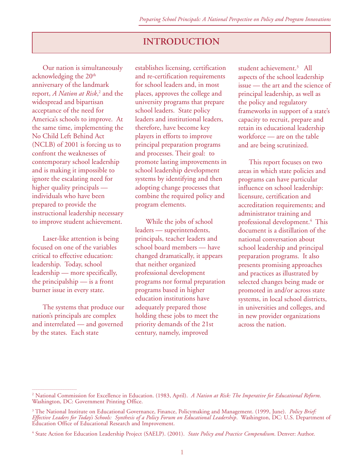# **INTRODUCTION**

Our nation is simultaneously acknowledging the 20<sup>th</sup> anniversary of the landmark report, *A Nation at Risk*, 2 and the widespread and bipartisan acceptance of the need for America's schools to improve. At the same time, implementing the No Child Left Behind Act (NCLB) of 2001 is forcing us to confront the weaknesses of contemporary school leadership and is making it impossible to ignore the escalating need for higher quality principals individuals who have been prepared to provide the instructional leadership necessary to improve student achievement.

Laser-like attention is being focused on one of the variables critical to effective education: leadership. Today, school leadership — more specifically, the principalship — is a front burner issue in every state.

The systems that produce our nation's principals are complex and interrelated — and governed by the states. Each state

\_\_\_\_\_\_\_\_\_\_\_\_\_\_\_\_\_\_\_\_\_\_\_\_\_

establishes licensing, certification and re-certification requirements for school leaders and, in most places, approves the college and university programs that prepare school leaders. State policy leaders and institutional leaders, therefore, have become key players in efforts to improve principal preparation programs and processes. Their goal: to promote lasting improvements in school leadership development systems by identifying and then adopting change processes that combine the required policy and program elements.

While the jobs of school leaders — superintendents, principals, teacher leaders and school board members — have changed dramatically, it appears that neither organized professional development programs nor formal preparation programs based in higher education institutions have adequately prepared those holding these jobs to meet the priority demands of the 21st century, namely, improved

student achievement.3 All aspects of the school leadership issue — the art and the science of principal leadership, as well as the policy and regulatory frameworks in support of a state's capacity to recruit, prepare and retain its educational leadership workforce — are on the table and are being scrutinized.

This report focuses on two areas in which state policies and programs can have particular influence on school leadership: licensure, certification and accreditation requirements; and administrator training and professional development.<sup>4</sup> This document is a distillation of the national conversation about school leadership and principal preparation programs. It also presents promising approaches and practices as illustrated by selected changes being made or promoted in and/or across state systems, in local school districts, in universities and colleges, and in new provider organizations across the nation.

<sup>2</sup> National Commission for Excellence in Education. (1983, April). *A Nation at Risk: The Imperative for Educational Reform*. Washington, DC: Government Printing Office.

<sup>3</sup> The National Institute on Educational Governance, Finance, Policymaking and Management. (1999, June). *Policy Brief: Effective Leaders for Today's Schools: Synthesis of a Policy Forum on Educational Leadership*. Washington, DC: U.S. Department of Education Office of Educational Research and Improvement.

<sup>4</sup> State Action for Education Leadership Project (SAELP). (2001). *State Policy and Practice Compendium*. Denver: Author.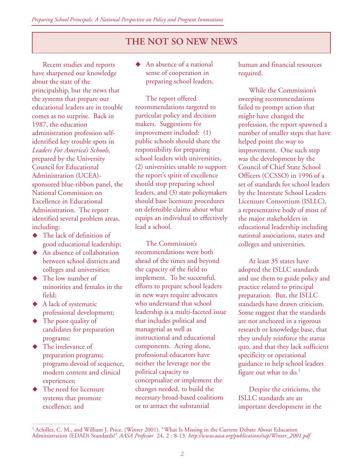# **THE NOT SO NEW NEWS**

Recent studies and reports have sharpened our knowledge about the state of the principalship, but the news that the systems that prepare our educational leaders are in trouble comes as no surprise. Back in 1987, the education administration profession selfidentified key trouble spots in *Leaders For America's Schools,* prepared by the University Council for Educational Administration (UCEA) sponsored blue-ribbon panel, the National Commission on Excellence in Educational Administration. The report identified several problem areas, including:

- $\blacklozenge$  The lack of definition of good educational leadership;
- $\blacklozenge$  An absence of collaboration between school districts and colleges and universities;
- ◆ The low number of minorities and females in the field;
- $\blacklozenge$  A lack of systematic professional development;
- $\blacklozenge$  The poor quality of candidates for preparation programs;
- $\blacklozenge$  The irrelevance of preparation programs; programs devoid of sequence, modern content and clinical experiences;
- ! The need for licensure systems that promote excellence; and

\_\_\_\_\_\_\_\_\_\_\_\_\_\_\_\_\_\_\_\_\_\_\_\_\_

! An absence of a national sense of cooperation in preparing school leaders.

The report offered recommendations targeted to particular policy and decision makers. Suggestions for improvement included: (1) public schools should share the responsibility for preparing school leaders with universities, (2) universities unable to support the report's spirit of excellence should stop preparing school leaders, and (3) state policymakers should base licensure procedures on defensible claims about what equips an individual to effectively lead a school.

The Commission's recommendations were both ahead of the times and beyond the capacity of the field to implement. To be successful, efforts to prepare school leaders in new ways require advocates who understand that school leadership is a multi-faceted issue that includes political and managerial as well as instructional and educational components. Acting alone, professional educators have neither the leverage nor the political capacity to conceptualize or implement the changes needed, to build the necessary broad-based coalitions or to attract the substantial

human and financial resources required.

While the Commission's sweeping recommendations failed to prompt action that might have changed the profession, the report spawned a number of smaller steps that have helped point the way to improvement. One such step was the development by the Council of Chief State School Officers (CCSSO) in 1996 of a set of standards for school leaders by the Interstate School Leaders Licensure Consortium (ISLLC), a representative body of most of the major stakeholders in educational leadership including national associations, states and colleges and universities.

At least 35 states have adopted the ISLLC standards and use them to guide policy and practice related to principal preparation. But, the ISLLC standards have drawn criticism. Some suggest that the standards are not anchored in a rigorous research or knowledge base, that they unduly reinforce the status quo, and that they lack sufficient specificity or operational guidance to help school leaders figure out what to do.<sup>5</sup>

Despite the criticisms, the ISLLC standards are an important development in the

<sup>5</sup> Achilles, C. M., and William J. Price. (Winter 2001). "What Is Missing in the Current Debate About Education Administration (EDAD) Standards!" *AASA Professor* 24, 2 : 8-13. *http://www.aasa.org/publications/tap/Winter\_2001.pdf*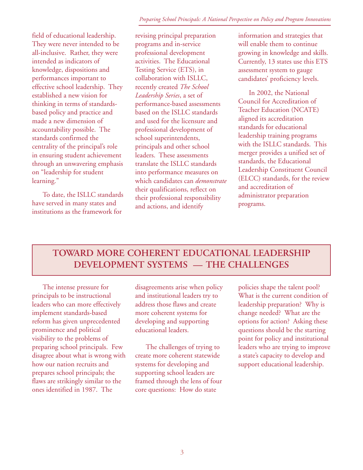field of educational leadership. They were never intended to be all-inclusive. Rather, they were intended as indicators of knowledge, dispositions and performances important to effective school leadership. They established a new vision for thinking in terms of standardsbased policy and practice and made a new dimension of accountability possible. The standards confirmed the centrality of the principal's role in ensuring student achievement through an unwavering emphasis on "leadership for student learning."

To date, the ISLLC standards have served in many states and institutions as the framework for

revising principal preparation programs and in-service professional development activities. The Educational Testing Service (ETS), in collaboration with ISLLC, recently created *The School Leadership Series*, a set of performance-based assessments based on the ISLLC standards and used for the licensure and professional development of school superintendents, principals and other school leaders. These assessments translate the ISLLC standards into performance measures on which candidates can *demonstrate* their qualifications, reflect on their professional responsibility and actions, and identify

information and strategies that will enable them to continue growing in knowledge and skills. Currently, 13 states use this ETS assessment system to gauge candidates' proficiency levels.

In 2002, the National Council for Accreditation of Teacher Education (NCATE) aligned its accreditation standards for educational leadership training programs with the ISLLC standards. This merger provides a unified set of standards, the Educational Leadership Constituent Council (ELCC) standards, for the review and accreditation of administrator preparation programs.

# **TOWARD MORE COHERENT EDUCATIONAL LEADERSHIP DEVELOPMENT SYSTEMS — THE CHALLENGES**

The intense pressure for principals to be instructional leaders who can more effectively implement standards-based reform has given unprecedented prominence and political visibility to the problems of preparing school principals. Few disagree about what is wrong with how our nation recruits and prepares school principals; the flaws are strikingly similar to the ones identified in 1987. The

disagreements arise when policy and institutional leaders try to address those flaws and create more coherent systems for developing and supporting educational leaders.

The challenges of trying to create more coherent statewide systems for developing and supporting school leaders are framed through the lens of four core questions: How do state

policies shape the talent pool? What is the current condition of leadership preparation? Why is change needed? What are the options for action? Asking these questions should be the starting point for policy and institutional leaders who are trying to improve a state's capacity to develop and support educational leadership.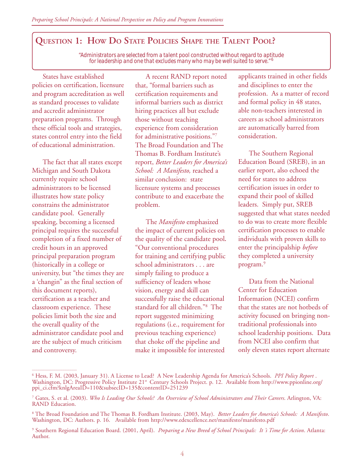# **QUESTION 1: HOW DO STATE POLICIES SHAPE THE TALENT POOL?**

*"Administrators are selected from a talent pool constructed without regard to aptitude for leadership and one that excludes many who may be well suited to serve."* <sup>6</sup>

States have established policies on certification, licensure and program accreditation as well as standard processes to validate and accredit administrator preparation programs. Through these official tools and strategies, states control entry into the field of educational administration.

The fact that all states except Michigan and South Dakota currently require school administrators to be licensed illustrates how state policy constrains the administrator candidate pool. Generally speaking, becoming a licensed principal requires the successful completion of a fixed number of credit hours in an approved principal preparation program (historically in a college or university, but "the times they are a 'changin" as the final section of this document reports), certification as a teacher and classroom experience. These policies limit both the size and the overall quality of the administrator candidate pool and are the subject of much criticism and controversy.

\_\_\_\_\_\_\_\_\_\_\_\_\_\_\_\_\_\_\_\_\_\_\_\_\_

A recent RAND report noted that, "formal barriers such as certification requirements and informal barriers such as district hiring practices all but exclude those without teaching experience from consideration for administrative positions."7 The Broad Foundation and The Thomas B. Fordham Institute's report, *Better Leaders for America's School: A Manifesto,* reached a similar conclusion: state licensure systems and processes contribute to and exacerbate the problem.

The *Manifesto* emphasized the impact of current policies on the quality of the candidate pool*.* "Our conventional procedures for training and certifying public school administrators . . . are simply failing to produce a sufficiency of leaders whose vision, energy and skill can successfully raise the educational standard for all children."8 The report suggested minimizing regulations (i.e., requirement for previous teaching experience) that choke off the pipeline and make it impossible for interested

applicants trained in other fields and disciplines to enter the profession. As a matter of record and formal policy in 48 states, able non-teachers interested in careers as school administrators are automatically barred from consideration.

The Southern Regional Education Board (SREB), in an earlier report, also echoed the need for states to address certification issues in order to expand their pool of skilled leaders. Simply put, SREB suggested that what states needed to do was to create more flexible certification processes to enable individuals with proven skills to enter the principalship *before* they completed a university program.9

Data from the National Center for Education Information (NCEI) confirm that the states are not hotbeds of activity focused on bringing nontraditional professionals into school leadership positions. Data from NCEI also confirm that only eleven states report alternate

<sup>6</sup> Hess, F. M. (2003, January 31). A License to Lead? A New Leadership Agenda for America's Schools. *PPI Policy Report* . Washington, DC: Progressive Policy Institute 21st Century Schools Project. p. 12. Available from http://www.ppionline.org/ ppi\_ci.cfm?knlgAreaID=110&subsecID=135&contentID=251239

<sup>7</sup> Gates, S. et al. (2003). *Who Is Leading Our Schools? An Overview of School Administrators and Their Careers*. Arlington, VA: RAND Education.

<sup>&</sup>lt;sup>8</sup> The Broad Foundation and The Thomas B. Fordham Institute. (2003, May). *Better Leaders for America's Schools: A Manifesto.*<br>Washington, DC: Authors. p. 16. Available from http://www.edexcellence.net/manifesto/manifes

<sup>9</sup> Southern Regional Education Board. (2001, April). *Preparing a New Breed of School Principals: It 's Time for Action*. Atlanta: Author.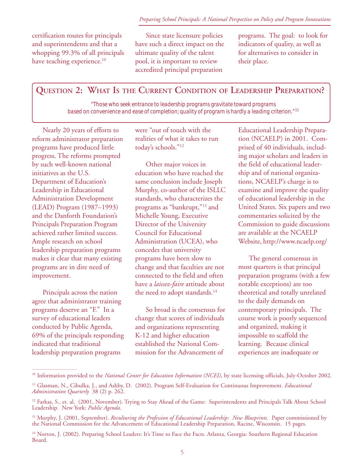certification routes for principals and superintendents and that a whopping 99.3% of all principals have teaching experience.<sup>10</sup>

Since state licensure policies have such a direct impact on the ultimate quality of the talent pool, it is important to review accredited principal preparation

programs. The goal: to look for indicators of quality, as well as for alternatives to consider in their place.

# **QUESTION 2: WHAT IS THE CURRENT CONDITION OF LEADERSHIP PREPARATION?**

*"Those who seek entrance to leadership programs gravitate toward programs based on convenience and ease of completion; quality of program is hardly a leading criterion."* <sup>11</sup>

Nearly 20 years of efforts to reform administrator preparation programs have produced little progress. The reforms prompted by such well-known national initiatives as the U.S. Department of Education's Leadership in Educational Administration Development (LEAD) Program (1987–1993) and the Danforth Foundation's Principals Preparation Program achieved rather limited success. Ample research on school leadership preparation programs makes it clear that many existing programs are in dire need of improvement.

Principals across the nation agree that administrator training programs deserve an "F." In a survey of educational leaders conducted by Public Agenda, 69% of the principals responding indicated that traditional leadership preparation programs

\_\_\_\_\_\_\_\_\_\_\_\_\_\_\_\_\_\_\_\_\_\_\_\_\_

were "out of touch with the realities of what it takes to run today's schools."12

Other major voices in education who have reached the same conclusion include Joseph Murphy, co-author of the ISLLC standards, who characterizes the programs as "bankrupt,"13 and Michelle Young, Executive Director of the University Council for Educational Administration (UCEA), who concedes that university programs have been slow to change and that faculties are not connected to the field and often have a *laissez-faire* attitude about the need to adopt standards.<sup>14</sup>

So broad is the consensus for change that scores of individuals and organizations representing K-12 and higher education established the National Commission for the Advancement of

Educational Leadership Preparation (NCAELP) in 2001. Comprised of 40 individuals, including major scholars and leaders in the field of educational leadership and of national organizations, NCAELP's charge is to examine and improve the quality of educational leadership in the United States. Six papers and two commentaries solicited by the Commission to guide discussions are available at the NCAELP Website, http://www.ncaelp.org/

The general consensus in most quarters is that principal preparation programs (with a few notable exceptions) are too theoretical and totally unrelated to the daily demands on contemporary principals. The course work is poorly sequenced and organized, making it impossible to scaffold the learning. Because clinical experiences are inadequate or

<sup>&</sup>lt;sup>10</sup> Information provided to the *National Center for Education Information (NCEI)*, by state licensing officials, July-October 2002.

<sup>11</sup> Glasman, N., Cibulka, J., and Ashby, D. (2002). Program Self-Evaluation for Continuous Improvement. *Educational Administration Quarterly* 38 (2) p. 262.

<sup>&</sup>lt;sup>12</sup> Farkas, S., et. al. (2001, November). Trying to Stay Ahead of the Game: Superintendents and Principals Talk About School Leadership*.* New York: *Public Agenda*.

<sup>&</sup>lt;sup>13</sup> Murphy, J. (2001, September). *Reculturing the Profession of Educational Leadership: New Blueprints. Paper commissioned by* the National Commission for the Advancement of Educational Leadership Preparation, Racine, Wisconsin. 15 pages.

<sup>&</sup>lt;sup>14</sup> Norton, J. (2002). Preparing School Leaders: It's Time to Face the Facts. Atlanta, Georgia: Southern Regional Education Board.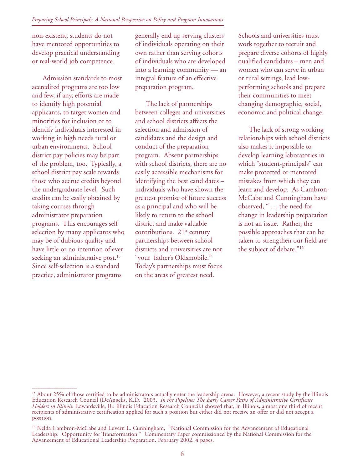non-existent, students do not have mentored opportunities to develop practical understanding or real-world job competence.

Admission standards to most accredited programs are too low and few, if any, efforts are made to identify high potential applicants, to target women and minorities for inclusion or to identify individuals interested in working in high needs rural or urban environments. School district pay policies may be part of the problem, too. Typically, a school district pay scale rewards those who accrue credits beyond the undergraduate level. Such credits can be easily obtained by taking courses through administrator preparation programs. This encourages selfselection by many applicants who may be of dubious quality and have little or no intention of ever seeking an administrative post.<sup>15</sup> Since self-selection is a standard practice, administrator programs

\_\_\_\_\_\_\_\_\_\_\_\_\_\_\_\_\_\_\_\_\_\_\_\_\_

generally end up serving clusters of individuals operating on their own rather than serving cohorts of individuals who are developed into a learning community — an integral feature of an effective preparation program.

The lack of partnerships between colleges and universities and school districts affects the selection and admission of candidates and the design and conduct of the preparation program. Absent partnerships with school districts, there are no easily accessible mechanisms for identifying the best candidates – individuals who have shown the greatest promise of future success as a principal and who will be likely to return to the school district and make valuable contributions.  $21<sup>st</sup>$  century partnerships between school districts and universities are not "your father's Oldsmobile." Today's partnerships must focus on the areas of greatest need.

Schools and universities must work together to recruit and prepare diverse cohorts of highly qualified candidates – men and women who can serve in urban or rural settings, lead lowperforming schools and prepare their communities to meet changing demographic, social, economic and political change.

The lack of strong working relationships with school districts also makes it impossible to develop learning laboratories in which "student-principals" can make protected or mentored mistakes from which they can learn and develop. As Cambron-McCabe and Cunningham have observed, " . . . the need for change in leadership preparation is not an issue. Rather, the possible approaches that can be taken to strengthen our field are the subject of debate."16

<sup>&</sup>lt;sup>15</sup> About 25% of those certified to be administrators actually enter the leadership arena. However, a recent study by the Illinois Education Research Council (DeAngelis, K.D. 2003. In the Pipeline: The Early Career Paths *Holders in Illinois*. Edwardsville, IL: Illinois Education Research Council.) showed that, in Illinois, almost one third of recent recipients of administrative certification applied for such a position but either did not receive an offer or did not accept a position.

<sup>&</sup>lt;sup>16</sup> Nelda Cambron-McCabe and Luvern L. Cunningham, "National Commission for the Advancement of Educational Leadership: Opportunity for Transformation." Commentary Paper commissioned by the National Commission for the Advancement of Educational Leadership Preparation. February 2002. 4 pages.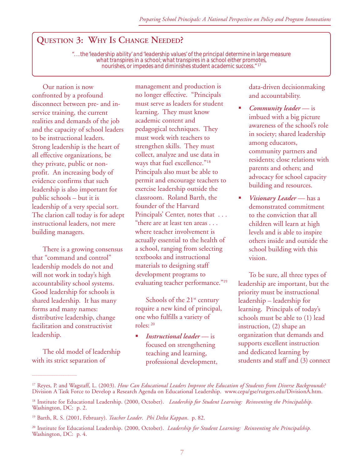# **QUESTION 3: WHY IS CHANGE NEEDED?**

*". . . the 'leadership ability' and 'leadership values' of the principal determine in large measure what transpires in a school; what transpires in a school either promotes, nourishes, or impedes and diminishes student academic success."* <sup>17</sup>

Our nation is now confronted by a profound disconnect between pre- and inservice training, the current realities and demands of the job and the capacity of school leaders to be instructional leaders. Strong leadership is the heart of all effective organizations, be they private, public or nonprofit. An increasing body of evidence confirms that such leadership is also important for public schools – but it is leadership of a very special sort. The clarion call today is for adept instructional leaders, not mere building managers.

There is a growing consensus that "command and control" leadership models do not and will not work in today's high accountability school systems. Good leadership for schools is shared leadership. It has many forms and many names: distributive leadership, change facilitation and constructivist leadership.

The old model of leadership with its strict separation of

\_\_\_\_\_\_\_\_\_\_\_\_\_\_\_\_\_\_\_\_\_\_\_\_\_

management and production is no longer effective. "Principals must serve as leaders for student learning. They must know academic content and pedagogical techniques. They must work with teachers to strengthen skills. They must collect, analyze and use data in ways that fuel excellence."<sup>18</sup> Principals also must be able to permit and encourage teachers to exercise leadership outside the classroom. Roland Barth, the founder of the Harvard Principals' Center, notes that . . . "there are at least ten areas . . . where teacher involvement is actually essential to the health of a school, ranging from selecting textbooks and instructional materials to designing staff development programs to evaluating teacher performance."<sup>19</sup>

Schools of the  $21^{st}$  century require a new kind of principal, one who fulfills a variety of roles: 20

" *Instructional leader* — is focused on strengthening teaching and learning, professional development, data-driven decisionmaking and accountability.

- *Community leader* is imbued with a big picture awareness of the school's role in society; shared leadership among educators, community partners and residents; close relations with parents and others; and advocacy for school capacity building and resources.
- *Visionarγ Leader* has a demonstrated commitment to the conviction that all children will learn at high levels and is able to inspire others inside and outside the school building with this vision.

To be sure, all three types of leadership are important, but the priority must be instructional leadership – leadership for learning. Principals of today's schools must be able to (1) lead instruction, (2) shape an organization that demands and supports excellent instruction and dedicated learning by students and staff and (3) connect

<sup>&</sup>lt;sup>17</sup> Reyes, P. and Wagstaff, L. (2003). *How Can Educational Leaders Improve the Education of Students from Diverse Backgrounds?* Division A Task Force to Develop a Research Agenda on Educational Leadership. www.cepa/gse/rutgers.edu/DivisionA.htm.

<sup>18</sup> Institute for Educational Leadership. (2000, October). *Leadership for Student Learning: Reinventing the Principalship.* Washington, DC: p. 2.

<sup>19</sup> Barth, R. S. (2001, February). *Teacher Leader*. *Phi Delta Kappan*. p. 82.

<sup>20</sup> Institute for Educational Leadership. (2000, October). *Leadership for Student Learning: Reinventing the Principalship.* Washington, DC: p. 4.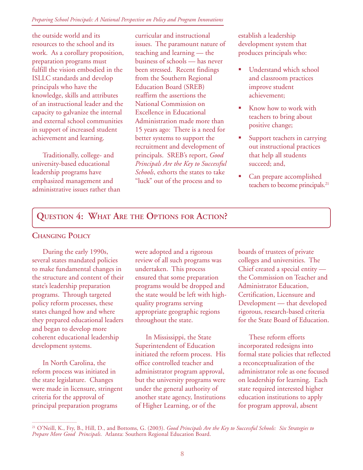#### *Preparing School Principals: A National Perspective on Policy and Program Innovations*

the outside world and its resources to the school and its work. As a corollary proposition, preparation programs must fulfill the vision embodied in the ISLLC standards and develop principals who have the knowledge, skills and attributes of an instructional leader and the capacity to galvanize the internal and external school communities in support of increased student achievement and learning.

Traditionally, college- and university-based educational leadership programs have emphasized management and administrative issues rather than curricular and instructional issues. The paramount nature of teaching and learning — the business of schools — has never been stressed.Recent findings from the Southern Regional Education Board (SREB) reaffirm the assertions the National Commission on Excellence in Educational Administration made more than 15 years ago: There is a need for better systems to support the recruitment and development of principals. SREB's report, *Good Principals Are the Key to Successful Schools*, exhorts the states to take "luck" out of the process and to

establish a leadership development system that produces principals who:

- Understand which school and classroom practices improve student achievement;
- Know how to work with teachers to bring about positive change;
- Support teachers in carrying out instructional practices that help all students succeed; and,
- Can prepare accomplished teachers to become principals.<sup>21</sup>

# **QUESTION 4: WHAT ARE THE OPTIONS FOR ACTION?**

### **CHANGING POLICY**

During the early 1990s, several states mandated policies to make fundamental changes in the structure and content of their state's leadership preparation programs. Through targeted policy reform processes, these states changed how and where they prepared educational leaders and began to develop more coherent educational leadership development systems.

In North Carolina, the reform process was initiated in the state legislature. Changes were made in licensure, stringent criteria for the approval of principal preparation programs

\_\_\_\_\_\_\_\_\_\_\_\_\_\_\_\_\_\_\_\_\_\_\_\_\_

were adopted and a rigorous review of all such programs was undertaken. This process ensured that some preparation programs would be dropped and the state would be left with highquality programs serving appropriate geographic regions throughout the state.

In Mississippi, the State Superintendent of Education initiated the reform process. His office controlled teacher and administrator program approval, but the university programs were under the general authority of another state agency, Institutions of Higher Learning, or of the

boards of trustees of private colleges and universities. The Chief created a special entity the Commission on Teacher and Administrator Education, Certification, Licensure and Development — that developed rigorous, research-based criteria for the State Board of Education.

These reform efforts incorporated redesigns into formal state policies that reflected a reconceptualization of the administrator role as one focused on leadership for learning. Each state required interested higher education institutions to apply for program approval, absent

<sup>21</sup> O'Neill, K., Fry, B., Hill, D., and Bottoms, G. (2003). *Good Principals Are the Key to Successful Schools: Six Strategies to Prepare More Good Principals*. Atlanta: Southern Regional Education Board.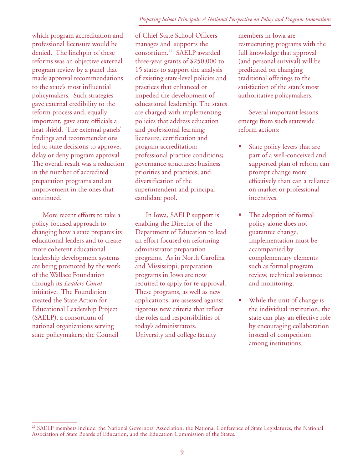#### *Preparing School Principals: A National Perspective on Policy and Program Innovations*

which program accreditation and professional licensure would be denied. The linchpin of these reforms was an objective external program review by a panel that made approval recommendations to the state's most influential policymakers. Such strategies gave external credibility to the reform process and, equally important, gave state officials a heat shield. The external panels' findings and recommendations led to state decisions to approve, delay or deny program approval. The overall result was a reduction in the number of accredited preparation programs and an improvement in the ones that continued.

More recent efforts to take a policy-focused approach to changing how a state prepares its educational leaders and to create more coherent educational leadership development systems are being promoted by the work of the Wallace Foundation through its *Leaders Count* initiative. The Foundation created the State Action for Educational Leadership Project (SAELP), a consortium of national organizations serving state policymakers; the Council

\_\_\_\_\_\_\_\_\_\_\_\_\_\_\_\_\_\_\_\_\_\_\_\_\_

of Chief State School Officers manages and supports the consortium.22 SAELP awarded three-year grants of \$250,000 to 15 states to support the analysis of existing state-level policies and practices that enhanced or impeded the development of educational leadership. The states are charged with implementing policies that address education and professional learning; licensure, certification and program accreditation; professional practice conditions; governance structures; business priorities and practices; and diversification of the superintendent and principal candidate pool.

In Iowa, SAELP support is enabling the Director of the Department of Education to lead an effort focused on reforming administrator preparation programs. As in North Carolina and Mississippi, preparation programs in Iowa are now required to apply for re-approval. These programs, as well as new applications, are assessed against rigorous new criteria that reflect the roles and responsibilities of today's administrators. University and college faculty

members in Iowa are restructuring programs with the full knowledge that approval (and personal survival) will be predicated on changing traditional offerings to the satisfaction of the state's most authoritative policymakers.

Several important lessons emerge from such statewide reform actions:

- State policy levers that are part of a well-conceived and supported plan of reform can prompt change more effectively than can a reliance on market or professional incentives.
- The adoption of formal policy alone does not guarantee change. Implementation must be accompanied by complementary elements such as formal program review, technical assistance and monitoring.
- While the unit of change is the individual institution, the state can play an effective role by encouraging collaboration instead of competition among institutions.

<sup>&</sup>lt;sup>22</sup> SAELP members include: the National Governors' Association, the National Conference of State Legislatures, the National Association of State Boards of Education, and the Education Commission of the States.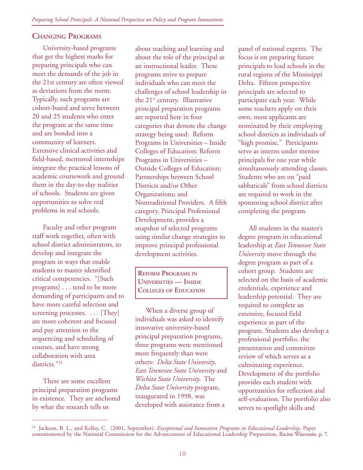# **CHANGING PROGRAMS**

University-based programs that get the highest marks for preparing principals who can meet the demands of the job in the 21st century are often viewed as deviations from the norm. Typically, such programs are cohort-based and serve between 20 and 25 students who enter the program at the same time and are bonded into a community of learners. Extensive clinical activities and field-based, mentored internships integrate the practical lessons of academic coursework and ground them in the day-to-day realities of schools. Students are given opportunities to solve real problems in real schools.

Faculty and other program staff work together, often with school district administrators, to develop and integrate the program in ways that enable students to master identified critical competencies. "[Such programs] . . . tend to be more demanding of participants and to have more careful selection and screening processes. . . . [They] are more coherent and focused and pay attention to the sequencing and scheduling of courses, and have strong collaboration with area districts."23

There are some excellent principal preparation programs in existence. They are anchored by what the research tells us

\_\_\_\_\_\_\_\_\_\_\_\_\_\_\_\_\_\_\_\_\_\_\_\_\_

about teaching and learning and about the role of the principal as an instructional leader. These programs strive to prepare individuals who can meet the challenges of school leadership in the 21st century. Illustrative principal preparation programs are reported here in four categories that denote the change strategy being used: Reform Programs in Universities – Inside Colleges of Education; Reform Programs in Universities – Outside Colleges of Education; Partnerships between School Districts and/or Other Organizations; and Nontraditional Providers. A fifth category, Principal Professional Development, provides a snapshot of selected programs using similar change strategies to improve principal professional development activities.

**REFORM PROGRAMS IN UNIVERSITIES — INSIDE COLLEGES OF EDUCATION**

When a diverse group of individuals was asked to identify innovative university-based principal preparation programs, three programs were mentioned more frequently than were others: *Delta State University*, *East Tennessee State University* and *Wichita State University*. The *Delta State University* program, inaugurated in 1998, was developed with assistance from a

panel of national experts. The focus is on preparing future principals to lead schools in the rural regions of the Mississippi Delta. Fifteen prospective principals are selected to participate each year. While some teachers apply on their own, most applicants are nominated by their employing school districts as individuals of "high promise." Participants serve as interns under mentor principals for one year while simultaneously attending classes. Students who are on "paid sabbaticals" from school districts are required to work in the sponsoring school district after completing the program.

All students in the master's degree program in educational leadership at *East Tennessee State University* move through the degree program as part of a cohort group. Students are selected on the basis of academic credentials, experience and leadership potential. They are required to complete an extensive, focused field experience as part of the program. Students also develop a professional portfolio, the presentation and committee review of which serves as a culminating experience. Development of the portfolio provides each student with opportunities for reflection and self-evaluation. The portfolio also serves to spotlight skills and

<sup>&</sup>lt;sup>23</sup> Jackson, B. L., and Kelley, C. (2001, September). *Exceptional and Innovative Programs in Educational Leadership*. Paper commissioned by the National Commission for the Advancement of Educational Leadership Preparation, Racine Wisconsin. p. 7.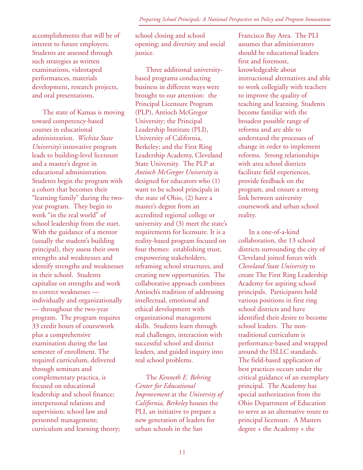accomplishments that will be of interest to future employers. Students are assessed through such strategies as written examinations, videotaped performances, materials development, research projects, and oral presentations.

The state of Kansas is moving toward competency-based courses in educational administration. *Wichita State University's* innovative program leads to building-level licensure and a master's degree in educational administration. Students begin the program with a cohort that becomes their "learning family" during the twoyear program. They begin to work "in the real world" of school leadership from the start. With the guidance of a mentor (usually the student's building principal), they assess their own strengths and weaknesses and identify strengths and weaknesses in their school. Students capitalize on strengths and work to correct weaknesses individually and organizationally — throughout the two-year program. The program requires 33 credit hours of coursework plus a comprehensive examination during the last semester of enrollment. The required curriculum, delivered through seminars and complementary practica, is focused on educational leadership and school finance; interpersonal relations and supervision; school law and personnel management; curriculum and learning theory;

school closing and school opening; and diversity and social justice.

Three additional universitybased programs conducting business in different ways were brought to our attention: the Principal Licensure Program (PLP), Antioch McGregor University; the Principal Leadership Institute (PLI), University of California, Berkeley; and the First Ring Leadership Academy, Cleveland State University. The PLP at *Antioch McGregor University* is designed for educators who (1) want to be school principals in the state of Ohio, (2) have a master's degree from an accredited regional college or university and (3) meet the state's requirements for licensure. It is a reality-based program focused on four themes: establishing trust, empowering stakeholders, reframing school structures, and creating new opportunities. The collaborative approach combines Antioch's tradition of addressing intellectual, emotional and ethical development with organizational management skills. Students learn through real challenges, interaction with successful school and district leaders, and guided inquiry into real school problems.

The *Kenneth E. Behring Center for Educational Improvement* at the *University of California, Berkeley* houses the PLI, an initiative to prepare a new generation of leaders for urban schools in the San

Francisco Bay Area. The PLI assumes that administrators should be educational leaders first and foremost, knowledgeable about instructional alternatives and able to work collegially with teachers to improve the quality of teaching and learning. Students become familiar with the broadest possible range of reforms and are able to understand the processes of change in order to implement reforms. Strong relationships with area school districts facilitate field experiences, provide feedback on the program, and ensure a strong link between university coursework and urban school reality.

In a one-of-a-kind collaboration, the 13 school districts surrounding the city of Cleveland joined forces with *Cleveland State University* to create The First Ring Leadership Academy for aspiring school principals. Participants hold various positions in first ring school districts and have identified their desire to become school leaders. The nontraditional curriculum is performance-based and wrapped around the ISLLC standards. The field-based application of best practices occurs under the critical guidance of an exemplary principal. The Academy has special authorization from the Ohio Department of Education to serve as an alternative route to principal licensure. A Masters degree + the Academy + the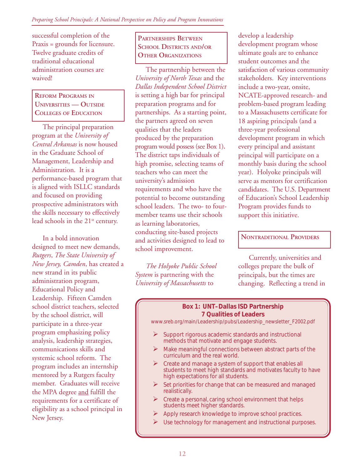successful completion of the Praxis = grounds for licensure. Twelve graduate credits of traditional educational administration courses are waived!

**REFORM PROGRAMS IN UNIVERSITIES — OUTSIDE COLLEGES OF EDUCATION**

The principal preparation program at the *University of Central Arkansas* is now housed in the Graduate School of Management, Leadership and Administration. It is a performance-based program that is aligned with ISLLC standards and focused on providing prospective administrators with the skills necessary to effectively lead schools in the  $21<sup>st</sup>$  century.

In a bold innovation designed to meet new demands, *Rutgers*, *The State University of New Jersey, Camden*, has created a new strand in its public administration program, Educational Policy and Leadership. Fifteen Camden school district teachers, selected by the school district, will participate in a three-year program emphasizing policy analysis, leadership strategies, communications skills and systemic school reform. The program includes an internship mentored by a Rutgers faculty member. Graduates will receive the MPA degree and fulfill the requirements for a certificate of eligibility as a school principal in New Jersey.

**PARTNERSHIPS BETWEEN SCHOOL DISTRICTS AND/OR OTHER ORGANIZATIONS** 

The partnership between the *University of North Texas* and the *Dallas Independent School District* is setting a high bar for principal preparation programs and for partnerships. As a starting point, the partners agreed on seven qualities that the leaders produced by the preparation program would possess (see Box 1)**.** The district taps individuals of high promise, selecting teams of teachers who can meet the university's admission requirements and who have the potential to become outstanding school leaders. The two- to fourmember teams use their schools as learning laboratories, conducting site-based projects and activities designed to lead to school improvement.

*The Holyoke Public School System* is partnering with the *University of Massachusetts* to

develop a leadership development program whose ultimate goals are to enhance student outcomes and the satisfaction of various community stakeholders. Key interventions include a two-year, onsite, NCATE-approved research- and problem-based program leading to a Massachusetts certificate for 18 aspiring principals (and a three-year professional development program in which every principal and assistant principal will participate on a monthly basis during the school year). Holyoke principals will serve as mentors for certification candidates. The U.S. Department of Education's School Leadership Program provides funds to support this initiative.

#### **NONTRADITIONAL PROVIDERS**

Currently, universities and colleges prepare the bulk of principals, but the times are changing. Reflecting a trend in

#### **Box 1: UNT–Dallas ISD Partnership 7 Qualities of Leaders**

www.sreb.org/main/Leadership/pubs/Leadership\_newsletter\_F2002.pdf

- Support rigorous academic standards and instructional methods that motivate and engage students.
- $\triangleright$  Make meaningful connections between abstract parts of the curriculum and the real world.
- Create and manage a system of support that enables all students to meet high standards and motivates faculty to have high expectations for all students.
- Set priorities for change that can be measured and managed realistically.
- Create a personal, caring school environment that helps students meet higher standards.
- Apply research knowledge to improve school practices.
- $\triangleright$  Use technology for management and instructional purposes.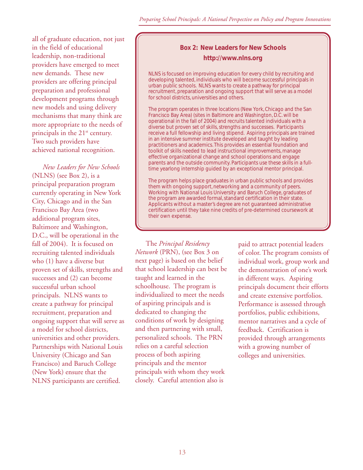all of graduate education, not just in the field of educational leadership, non-traditional providers have emerged to meet new demands. These new providers are offering principal preparation and professional development programs through new models and using delivery mechanisms that many think are more appropriate to the needs of principals in the 21<sup>st</sup> century. Two such providers have achieved national recognition.

*New Leaders for New Schools* (NLNS) (see Box 2), is a principal preparation program currently operating in New York City, Chicago and in the San Francisco Bay Area (two additional program sites, Baltimore and Washington, D.C., will be operational in the fall of 2004). It is focused on recruiting talented individuals who (1) have a diverse but proven set of skills, strengths and successes and (2) can become successful urban school principals. NLNS wants to create a pathway for principal recruitment, preparation and ongoing support that will serve as a model for school districts, universities and other providers. Partnerships with National Louis University (Chicago and San Francisco) and Baruch College (New York) ensure that the NLNS participants are certified.

# **Box 2: New Leaders for New Schools http://www.nlns.org**

NLNS is focused on improving education for every child by recruiting and developing talented, individuals who will become successful principals in urban public schools. NLNS wants to create a pathway for principal recruitment, preparation and ongoing support that will serve as a model for school districts, universities and others.

The program operates in three locations (New York, Chicago and the San Francisco Bay Area) (sites in Baltimore and Washington, D.C. will be operational in the fall of 2004) and recruits talented individuals with a diverse but proven set of skills, strengths and successes. Participants receive a full fellowship and living stipend. Aspiring principals are trained in an intensive summer institute developed and taught by leading practitioners and academics. This provides an essential foundation and toolkit of skills needed to lead instructional improvements, manage effective organizational change and school operations and engage parents and the outside community. Participants use these skills in a fulltime yearlong internship guided by an exceptional mentor principal.

The program helps place graduates in urban public schools and provides them with ongoing support, networking and a community of peers. Working with National Louis University and Baruch College, graduates of the program are awarded formal, standard certification in their state. Applicants without a master's degree are not guaranteed administrative certification until they take nine credits of pre-determined coursework at their own expense.

The *Principal Residency Network* (PRN), (see Box 3 on next page) is based on the belief that school leadership can best be taught and learned in the schoolhouse. The program is individualized to meet the needs of aspiring principals and is dedicated to changing the conditions of work by designing and then partnering with small, personalized schools. The PRN relies on a careful selection process of both aspiring principals and the mentor principals with whom they work closely. Careful attention also is

paid to attract potential leaders of color. The program consists of individual work, group work and the demonstration of one's work in different ways. Aspiring principals document their efforts and create extensive portfolios. Performance is assessed through portfolios, public exhibitions, mentor narratives and a cycle of feedback. Certification is provided through arrangements with a growing number of colleges and universities.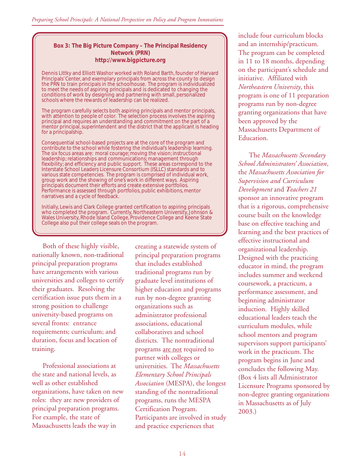#### **Box 3: The Big Picture Company – The Principal Residency Network (PRN) http://www.bigpicture.org**

Dennis Littky and Elliott Washor worked with Roland Barth, founder of Harvard Principals' Center, and exemplary principals from across the county to design the PRN to train principals in the schoolhouse. The program is individualized to meet the needs of aspiring principals and is dedicated to changing the conditions of work by designing and partnering with small, personalized schools where the rewards of leadership can be realized.

The program carefully selects both aspiring principals and mentor principals, with attention to people of color. The selection process involves the aspiring principal and requires an understanding and commitment on the part of a mentor principal, superintendent and the district that the applicant is heading for a principalship.

Consequential school-based projects are at the core of the program and contribute to the school while fostering the individual's leadership learning. The six focus areas are: moral courage; moving the vision; instructional leadership; relationships and communications; management through flexibility; and efficiency and public support. These areas correspond to the Interstate School Leaders Licensure Consortium (ISLLC) standards and to various state competencies. The program is comprised of individual work, group work and the showing of one's work in different ways. Aspiring principals document their efforts and create extensive portfolios. Performance is assessed through portfolios, public exhibitions, mentor narratives and a cycle of feedback.

Initially, Lewis and Clark College granted certification to aspiring principals who completed the program. Currently, Northeastern University, Johnson & Wales University, Rhode Island College, Providence College and Keene State College also put their college seals on the program.

Both of these highly visible, nationally known, non-traditional principal preparation programs have arrangements with various universities and colleges to certify their graduates. Resolving the certification issue puts them in a strong position to challenge university-based programs on several fronts: entrance requirements; curriculum; and duration, focus and location of training.

Professional associations at the state and national levels, as well as other established organizations, have taken on new roles: they are new providers of principal preparation programs. For example, the state of Massachusetts leads the way in

creating a statewide system of principal preparation programs that includes established traditional programs run by graduate level institutions of higher education and programs run by non-degree granting organizations such as administrator professional associations, educational collaboratives and school districts. The nontraditional programs are not required to partner with colleges or universities. The *Massachusetts Elementary School Principals Association* (MESPA), the longest standing of the nontraditional programs, runs the MESPA Certification Program. Participants are involved in study and practice experiences that

include four curriculum blocks and an internship/practicum. The program can be completed in 11 to 18 months, depending on the participant's schedule and initiative. Affiliated with *Northeastern University*, this program is one of 11 preparation programs run by non-degree granting organizations that have been approved by the Massachusetts Department of Education.

The *Massachusetts Secondary School Administrators' Association*, the *Massachusetts Association for Supervision and Curriculum Development* and *Teachers 21* sponsor an innovative program that is a rigorous, comprehensive course built on the knowledge base on effective teaching and learning and the best practices of effective instructional and organizational leadership. Designed with the practicing educator in mind, the program includes summer and weekend coursework, a practicum, a performance assessment, and beginning administrator induction. Highly skilled educational leaders teach the curriculum modules, while school mentors and program supervisors support participants' work in the practicum. The program begins in June and concludes the following May. (Box 4 lists all Administrator Licensure Programs sponsored by non-degree granting organizations in Massachusetts as of July 2003.)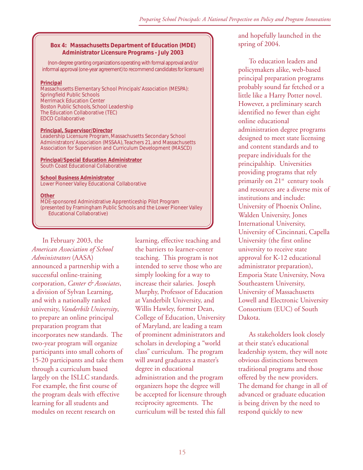#### **Box 4: Massachusetts Department of Education (MDE) Administrator Licensure Programs - July 2003**

(non-degree granting organizations operating with formal approval and/or informal approval (one-year agreement) to recommend candidates for licensure)

#### **Principal**

Massachusetts Elementary School Principals' Association (MESPA): Springfield Public Schools Merrimack Education Center Boston Public Schools, School Leadership The Education Collaborative (TEC) EDCO Collaborative

#### **Principal, Supervisor/Director**

Leadership Licensure Program, Massachusetts Secondary School Administrators' Association (MSSAA), Teachers 21, and Massachusetts Association for Supervision and Curriculum Development (MASCD)

#### **Principal/Special Education Administrator** South Coast Educational Collaborative

**School Business Administrator** Lower Pioneer Valley Educational Collaborative

**Other**

MDE-sponsored Administrative Apprenticeship Pilot Program (presented by Framingham Public Schools and the Lower Pioneer Valley Educational Collaborative)

In February 2003, the *American Association of School Administrators* (AASA) announced a partnership with a successful online-training corporation, *Canter & Associates*, a division of Sylvan Learning, and with a nationally ranked university, *Vanderbilt University*, to prepare an online principal preparation program that incorporates new standards. The two-year program will organize participants into small cohorts of 15-20 participants and take them through a curriculum based largely on the ISLLC standards. For example, the first course of the program deals with effective learning for all students and modules on recent research on

learning, effective teaching and the barriers to learner-center teaching. This program is not intended to serve those who are simply looking for a way to increase their salaries. Joseph Murphy, Professor of Education at Vanderbilt University, and Willis Hawley, former Dean, College of Education, University of Maryland, are leading a team of prominent administrators and scholars in developing a "world class" curriculum. The program will award graduates a master's degree in educational administration and the program organizers hope the degree will be accepted for licensure through reciprocity agreements. The curriculum will be tested this fall

and hopefully launched in the spring of 2004.

To education leaders and policymakers alike, web-based principal preparation programs probably sound far fetched or a little like a Harry Potter novel. However, a preliminary search identified no fewer than eight online educational administration degree programs designed to meet state licensing and content standards and to prepare individuals for the principalship. Universities providing programs that rely primarily on  $21^{st}$  century tools and resources are a diverse mix of institutions and include: University of Phoenix Online, Walden University, Jones International University, University of Cincinnati, Capella University (the first online university to receive state approval for K-12 educational administrator preparation), Emporia State University, Nova Southeastern University, University of Massachusetts Lowell and Electronic University Consortium (EUC) of South Dakota.

As stakeholders look closely at their state's educational leadership system, they will note obvious distinctions between traditional programs and those offered by the new providers. The demand for change in all of advanced or graduate education is being driven by the need to respond quickly to new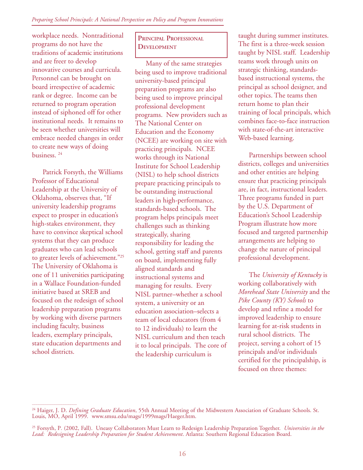workplace needs. Nontraditional programs do not have the traditions of academic institutions and are freer to develop innovative courses and curricula. Personnel can be brought on board irrespective of academic rank or degree. Income can be returned to program operation instead of siphoned off for other institutional needs. It remains to be seen whether universities will embrace needed changes in order to create new ways of doing business. 24

Patrick Forsyth, the Williams Professor of Educational Leadership at the University of Oklahoma, observes that, "If university leadership programs expect to prosper in education's high-stakes environment, they have to convince skeptical school systems that they can produce graduates who can lead schools to greater levels of achievement."25 The University of Oklahoma is one of 11 universities participating in a Wallace Foundation-funded initiative based at SREB and focused on the redesign of school leadership preparation programs by working with diverse partners including faculty, business leaders, exemplary principals, state education departments and school districts.

\_\_\_\_\_\_\_\_\_\_\_\_\_\_\_\_\_\_\_\_\_\_\_\_\_

## **PRINCIPAL PROFESSIONAL DEVELOPMENT**

Many of the same strategies being used to improve traditional university-based principal preparation programs are also being used to improve principal professional development programs. New providers such as The National Center on Education and the Economy (NCEE) are working on site with practicing principals. NCEE works through its National Institute for School Leadership (NISL) to help school districts prepare practicing principals to be outstanding instructional leaders in high-performance, standards-based schools. The program helps principals meet challenges such as thinking strategically, sharing responsibility for leading the school, getting staff and parents on board, implementing fully aligned standards and instructional systems and managing for results. Every NISL partner–whether a school system, a university or an education association–selects a team of local educators (from 4 to 12 individuals) to learn the NISL curriculum and then teach it to local principals. The core of the leadership curriculum is

taught during summer institutes. The first is a three-week session taught by NISL staff. Leadership teams work through units on strategic thinking, standardsbased instructional systems, the principal as school designer, and other topics. The teams then return home to plan their training of local principals, which combines face-to-face instruction with state-of-the-art interactive Web-based learning.

Partnerships between school districts, colleges and universities and other entities are helping ensure that practicing principals are, in fact, instructional leaders. Three programs funded in part by the U.S. Department of Education's School Leadership Program illustrate how more focused and targeted partnership arrangements are helping to change the nature of principal professional development.

The *University of Kentucky* is working collaboratively with *Morehead State University* and the *Pike County (KY) Schools* to develop and refine a model for improved leadership to ensure learning for at-risk students in rural school districts. The project, serving a cohort of 15 principals and/or individuals certified for the principalship, is focused on three themes:

<sup>&</sup>lt;sup>24</sup> Haiger, J. D. *Defining Graduate Education*, 55th Annual Meeting of the Midwestern Association of Graduate Schools. St. Louis, MO, April 1999. www.smsu.edu/mags/1999mags/Haeger.htm.

<sup>25</sup> Forsyth, P*.* (2002, Fall). Uneasy Collaborators Must Learn to Redesign Leadership Preparation Together. *Universities in the Lead: Redesigning Leadership Preparation for Student Achievement*. Atlanta: Southern Regional Education Board.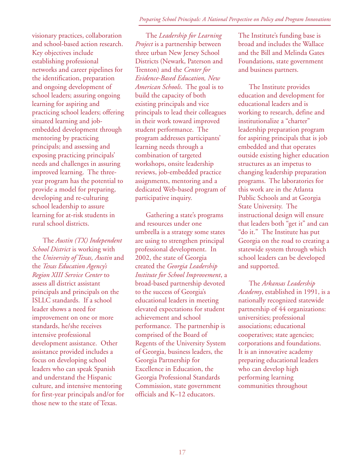visionary practices, collaboration and school-based action research. Key objectives include establishing professional networks and career pipelines for the identification, preparation and ongoing development of school leaders; assuring ongoing learning for aspiring and practicing school leaders; offering situated learning and jobembedded development through mentoring by practicing principals; and assessing and exposing practicing principals' needs and challenges in assuring improved learning. The threeyear program has the potential to provide a model for preparing, developing and re-culturing school leadership to assure learning for at-risk students in rural school districts.

The *Austin (TX) Independent School District* is working with the *University of Texas, Austin* and the *Texas Education Agency's Region XIII Service Center* to assess all district assistant principals and principals on the ISLLC standards. If a school leader shows a need for improvement on one or more standards, he/she receives intensive professional development assistance. Other assistance provided includes a focus on developing school leaders who can speak Spanish and understand the Hispanic culture, and intensive mentoring for first-year principals and/or for those new to the state of Texas.

The *Leadership for Learning Project* is a partnership between three urban New Jersey School Districts (Newark, Paterson and Trenton) and the *Center for Evidence-Based Education, New American Schools*. The goal is to build the capacity of both existing principals and vice principals to lead their colleagues in their work toward improved student performance. The program addresses participants' learning needs through a combination of targeted workshops, onsite leadership reviews, job-embedded practice assignments, mentoring and a dedicated Web-based program of participative inquiry.

Gathering a state's programs and resources under one umbrella is a strategy some states are using to strengthen principal professional development. In 2002, the state of Georgia created the *Georgia Leadership Institute for School Improvement*, a broad-based partnership devoted to the success of Georgia's educational leaders in meeting elevated expectations for student achievement and school performance. The partnership is comprised of the Board of Regents of the University System of Georgia, business leaders, the Georgia Partnership for Excellence in Education, the Georgia Professional Standards Commission, state government officials and K–12 educators.

The Institute's funding base is broad and includes the Wallace and the Bill and Melinda Gates Foundations, state government and business partners.

The Institute provides education and development for educational leaders and is working to research, define and institutionalize a "charter" leadership preparation program for aspiring principals that is job embedded and that operates outside existing higher education structures as an impetus to changing leadership preparation programs. The laboratories for this work are in the Atlanta Public Schools and at Georgia State University. The instructional design will ensure that leaders both "get it" and can "do it." The Institute has put Georgia on the road to creating a statewide system through which school leaders can be developed and supported.

The *Arkansas Leadership Academy*, established in 1991, is a nationally recognized statewide partnership of 44 organizations: universities; professional associations; educational cooperatives; state agencies; corporations and foundations. It is an innovative academy preparing educational leaders who can develop high performing learning communities throughout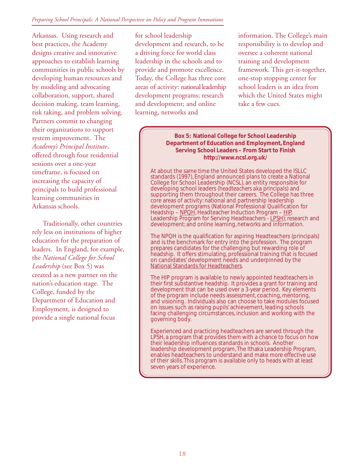#### *Preparing School Principals: A National Perspective on Policy and Program Innovations*

Arkansas. Using research and best practices, the Academy designs creative and innovative approaches to establish learning communities in public schools by developing human resources and by modeling and advocating collaboration, support, shared decision making, team learning, risk taking, and problem solving. Partners commit to changing their organizations to support system improvement. The *Academy's Principal Institute*, offered through four residential sessions over a one-year timeframe, is focused on increasing the capacity of principals to build professional learning communities in Arkansas schools.

Traditionally, other countries rely less on institutions of higher education for the preparation of leaders. In England, for example, the *National College for School Leadership* (see Box 5) was created as a new partner on the nation's education stage. The College, funded by the Department of Education and Employment, is designed to provide a single national focus

for school leadership development and research, to be a driving force for world class leadership in the schools and to provide and promote excellence. Today, the College has three core areas of activity: national leadership development programs; research and development; and online learning, networks and

information. The College's main responsibility is to develop and oversee a coherent national training and development framework. This get-it-together, one-stop stopping center for school leaders is an idea from which the United States might take a few cues.

**Box 5: National College for School Leadership Department of Education and Employment, England Serving School Leaders – From Start to Finish http://www.ncsl.org.uk/**

At about the same time the United States developed the ISLLC standards (1997), England announced plans to create a National College for School Leadership (NCSL), an entity responsible for developing school leaders (*headteachers aka principals*) and supporting them throughout their careers. The College has three core areas of activity: national and partnership leadership development programs (National Professional Qualification for Headship – <u>NPQH</u>, Headteacher Induction Program – <u>HIP</u>, Leadership Program for Serving Headteachers - <u>LPSH</u>); research and development; and online learning, networks and information.

The NPQH is the qualification for aspiring Headteachers (principals) and is the benchmark for entry into the profession. The program prepares candidates for the challenging but rewarding role of headship. It offers stimulating, professional training that is focused on candidates' development needs and underpinned by the **National Standards for Headteachers.** 

The HIP program is available to newly appointed headteachers in their first substantive headship. It provides a grant for training and development that can be used over a 3-year period. Key elements of the program include needs assessment, coaching, mentoring, and visioning. Individuals also can choose to take modules focused on issues such as raising pupils' achievement, leading schools facing challenging circumstances, inclusion and working with the governing body.

Experienced and practicing headteachers are served through the LPSH, a program that provides them with a chance to focus on how their leadership influences standards in schools. Another leadership development program, The Ithaka Leadership Program, enables headteachers to understand and make more effective use of their skills. This program is available only to heads with at least seven years of experience.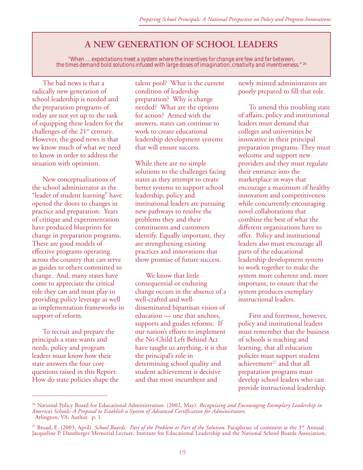# **A NEW GENERATION OF SCHOOL LEADERS**

*"When . . . expectations meet a system where the incentives for change are few and far between, the times demand bold solutions infused with large doses of imagination, creativity and inventiveness."* 26

The bad news is that a radically new generation of school leadership is needed and the preparation programs of today are not yet up to the task of equipping these leaders for the challenges of the 21<sup>st</sup> century. However, the good news is that we know much of what we need to know in order to address the situation with optimism.

New conceptualizations of the school administrator as the "leader of student learning" have opened the doors to changes in practice and preparation. Years of critique and experimentation have produced blueprints for change in preparation programs. There are good models of effective programs operating across the country that can serve as guides to others committed to change. And, many states have come to appreciate the critical role they can and must play in providing policy leverage as well as implementation frameworks in support of reform.

To recruit and prepare the principals a state wants and needs, policy and program leaders must know how their state answers the four core questions raised in this Report: How do state policies shape the

\_\_\_\_\_\_\_\_\_\_\_\_\_\_\_\_\_\_\_\_\_\_\_\_\_

talent pool? What is the current condition of leadership preparation? Why is change needed? What are the options for action? Armed with the answers, states can continue to work to create educational leadership development systems that will ensure success.

While there are no simple solutions to the challenges facing states as they attempt to create better systems to support school leadership, policy and institutional leaders are pursuing new pathways to resolve the problems they and their constituents and customers identify. Equally important, they are strengthening existing practices and innovations that show promise of future success.

We know that little consequential or enduring change occurs in the absence of a well-crafted and welldisseminated bipartisan vision of education — one that anchors, supports and guides reforms. If our nation's efforts to implement the No Child Left Behind Act have taught us anything, it is that the principal's role in determining school quality and student achievement is decisive and that most incumbent and

newly minted administrators are poorly prepared to fill that role.

To amend this troubling state of affairs, policy and institutional leaders must demand that colleges and universities be innovative in their principal preparation programs. They must welcome and support new providers and they must regulate their entrance into the marketplace in ways that encourage a maximum of healthy innovation and competitiveness while concurrently encouraging novel collaborations that combine the best of what the different organizations have to offer. Policy and institutional leaders also must encourage all parts of the educational leadership development system to work together to make the system more coherent and, more important, to ensure that the system produces exemplary instructional leaders.

First and foremost, however, policy and institutional leaders must remember that the business of schools is teaching and learning, that all education policies must support student achievement $27$  and that all preparation programs must develop school leaders who can provide instructional leadership.

<sup>26</sup> National Policy Board for Educational Administration. (2002, May). *Recognizing and Encouraging Exemplary Leadership in America's Schools: A Proposal to Establish a System of Advanced Certification for Administrators.* Arlington, VA: Author. p. 1.

<sup>&</sup>lt;sup>27</sup> Broad, E. (2003, April). *School Boards: Part of the Problem or Part of the Solution*. Paraphrase of comment at the 3<sup>rd</sup> Annual Jacqueline P. Danzberger Memorial Lecture, Institute for Educational Leadership and the National School Boards Association,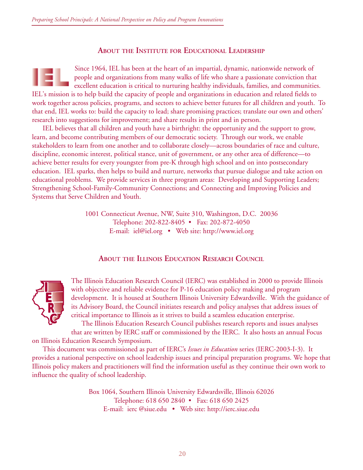### **ABOUT THE INSTITUTE FOR EDUCATIONAL LEADERSHIP**

Since 1964, IEL has been at the heart of an impartial, dynamic, nationwide network of people and organizations from many walks of life who share a passionate conviction that excellent education is critical to nurturing healthy individuals, families, and communities. IEL's mission is to help build the capacity of people and organizations in education and related fields to work together across policies, programs, and sectors to achieve better futures for all children and youth. To that end, IEL works to: build the capacity to lead; share promising practices; translate our own and others' research into suggestions for improvement; and share results in print and in person.

IEL believes that all children and youth have a birthright: the opportunity and the support to grow, learn, and become contributing members of our democratic society. Through our work, we enable stakeholders to learn from one another and to collaborate closely—across boundaries of race and culture, discipline, economic interest, political stance, unit of government, or any other area of difference—to achieve better results for every youngster from pre-K through high school and on into postsecondary education. IEL sparks, then helps to build and nurture, networks that pursue dialogue and take action on educational problems. We provide services in three program areas: Developing and Supporting Leaders; Strengthening School-Family-Community Connections; and Connecting and Improving Policies and Systems that Serve Children and Youth.

> 1001 Connecticut Avenue, NW, Suite 310, Washington, D.C. 20036 Telephone: 202-822-8405 • Fax: 202-872-4050 E-mail: iel@iel.org • Web site: http://www.iel.org

#### **ABOUT THE ILLINOIS EDUCATION RESEARCH COUNCIL**



The Illinois Education Research Council (IERC) was established in 2000 to provide Illinois with objective and reliable evidence for P-16 education policy making and program development. It is housed at Southern Illinois University Edwardsville. With the guidance of its Advisory Board, the Council initiates research and policy analyses that address issues of critical importance to Illinois as it strives to build a seamless education enterprise. The Illinois Education Research Council publishes research reports and issues analyses

that are written by IERC staff or commissioned by the IERC. It also hosts an annual Focus on Illinois Education Research Symposium.

This document was commissioned as part of IERC's *Issues in Education* series (IERC-2003-I-3). It provides a national perspective on school leadership issues and principal preparation programs. We hope that Illinois policy makers and practitioners will find the information useful as they continue their own work to influence the quality of school leadership.

> Box 1064, Southern Illinois University Edwardsville, Illinois 62026 Telephone: 618 650 2840 • Fax: 618 650 2425 E-mail: ierc @siue.edu • Web site: http://ierc.siue.edu